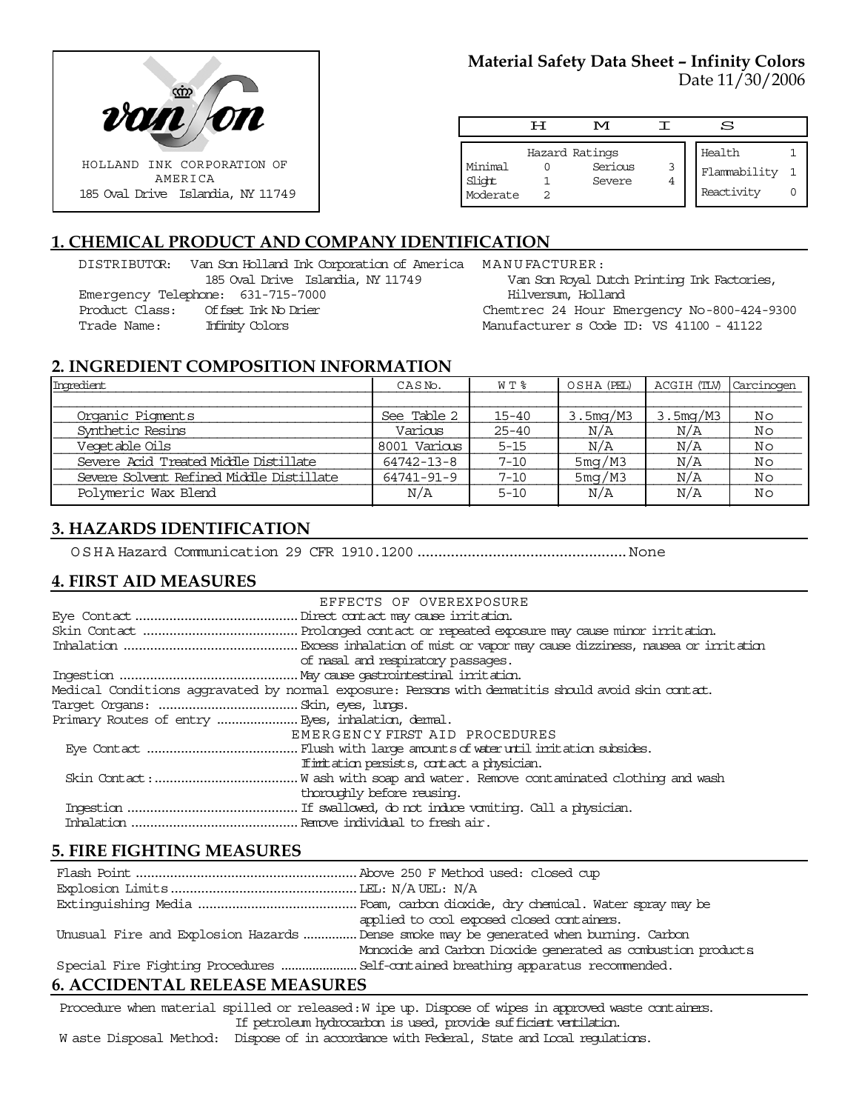

## **Material Safety Data Sheet – Infinity Colors** Date 11/30/2006

|                               | ਸ | M                                   |   | S                                    |  |
|-------------------------------|---|-------------------------------------|---|--------------------------------------|--|
| Minimal<br>Slight<br>Moderate |   | Hazard Ratings<br>Serious<br>Severe | 3 | Health<br>Flammability<br>Reactivity |  |

# **1. CHEMICAL PRODUCT AND COMPANY IDENTIFICATION**

DISTRIBUTOR: Van Son Holland Ink Corporation of America MANUFACTURER: 185 Oval Drive Islandia, NY 11749 Emergency Telephone: 631-715-7000 Product Class: Offset Ink No Drier

Trade Name: Infinity Colors

Van Son Royal Dutch Printing Ink Factories, Hilversum, Holland Chemtrec 24 Hour Emergency No-800-424-9300

Manufacturer s Code ID: VS 41100 - 41122

## **2. INGREDIENT COMPOSITION INFORMATION**

| Ingredient                               | CASN <sub>o</sub> . | W T %     | OSHA (PEL)          | ACGIH (TLV) | Carcinogen |
|------------------------------------------|---------------------|-----------|---------------------|-------------|------------|
|                                          |                     |           |                     |             |            |
| Organic Pigments                         | See Table 2         | $15 - 40$ | 3.5mg/M3            | 3.5mg/M3    | Νo         |
| Synthetic Resins                         | Various             | $25 - 40$ | N/A                 | N/A         | Νo         |
| Veqetable Oils                           | 8001 Various        | $5 - 15$  | N/A                 | N/A         | Νo         |
| Severe Acid Treated Middle Distillate    | $64742 - 13 - 8$    | $7 - 10$  | 5 <sub>m</sub> q/M3 | N/A         | Νo         |
| Severe Solvent Refined Middle Distillate | 64741-91-9          | $7 - 10$  | 5mg/M3              | N/A         | Νo         |
| Polymeric Wax Blend                      | N/A                 | $5 - 10$  | N/A                 | N/A         | Nο         |

## **3. HAZARDS IDENTIFICATION**

OSHA Hazard Communication 29 CFR 1910.1200..................................................None

#### **4. FIRST AID MEASURES**

| EFFECTS OF OVEREXPOSURE                                                                            |
|----------------------------------------------------------------------------------------------------|
|                                                                                                    |
|                                                                                                    |
|                                                                                                    |
| of nasal and respiratory passages.                                                                 |
|                                                                                                    |
| Medical Conditions aggravated by normal exposure: Persons with dematitis should avoid skin contat. |
|                                                                                                    |
|                                                                                                    |
| EMERGENCY FIRST AID PROCEDURES                                                                     |
|                                                                                                    |
| If initiation persists, contact a physician.                                                       |
|                                                                                                    |
| thoroughly before reusing.                                                                         |
|                                                                                                    |
|                                                                                                    |

#### **5. FIRE FIGHTING MEASURES**

| applied to cool exposed closed containers.                                            |
|---------------------------------------------------------------------------------------|
| Unusual Fire and Explosion Hazards  Dense smoke may be generated when burning. Carbon |
| Monoxide and Carbon Dioxide generated as combustion products                          |
|                                                                                       |

## **6. ACCIDENTAL RELEASE MEASURES**

Procedure when material spilled or released: W ipe up. Dispose of wipes in approved waste containers. If petroleum hydrocarbon is used, provide sufficient ventilation.

W aste Disposal Method: Dispose of in accordance with Federal, State and Local regulations.